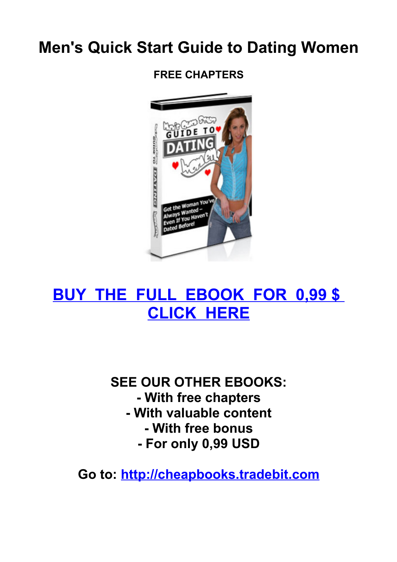# **Men's Quick Start Guide to Dating Women**

**FREE CHAPTERS**



# **[BUY THE FULL EBOOK FOR 0,99 \\$](http://www.tradebit.com/filedetail.php/107436054-mens-quick-start-guide-to-dating-women)  [CLICK HERE](http://www.tradebit.com/filedetail.php/107436054-mens-quick-start-guide-to-dating-women)**

## **SEE OUR OTHER EBOOKS: - With free chapters - With valuable content - With free bonus - For only 0,99 USD**

**Go to: [http://cheapbooks.tradebit.com](http://cheapbooks.tradebit.com/)**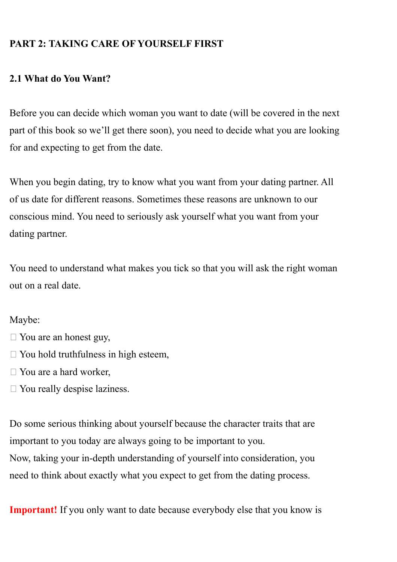### **PART 2: TAKING CARE OF YOURSELF FIRST**

#### **2.1 What do You Want?**

Before you can decide which woman you want to date (will be covered in the next part of this book so we'll get there soon), you need to decide what you are looking for and expecting to get from the date.

When you begin dating, try to know what you want from your dating partner. All of us date for different reasons. Sometimes these reasons are unknown to our conscious mind. You need to seriously ask yourself what you want from your dating partner.

You need to understand what makes you tick so that you will ask the right woman out on a real date.

#### Maybe:

- $\Box$  You are an honest guy,
- $\Box$  You hold truthfulness in high esteem,
- $\Box$  You are a hard worker,
- $\Box$  You really despise laziness.

Do some serious thinking about yourself because the character traits that are important to you today are always going to be important to you. Now, taking your in-depth understanding of yourself into consideration, you need to think about exactly what you expect to get from the dating process.

**Important!** If you only want to date because everybody else that you know is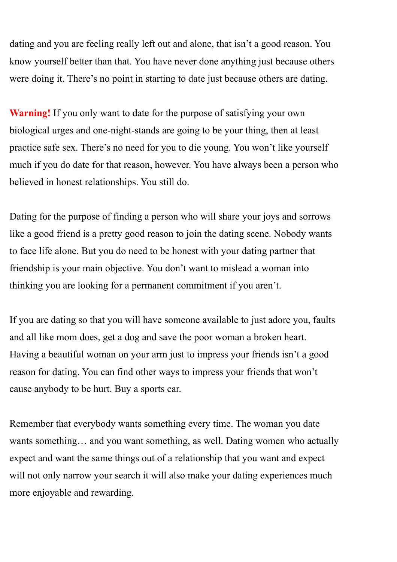dating and you are feeling really left out and alone, that isn't a good reason. You know yourself better than that. You have never done anything just because others were doing it. There's no point in starting to date just because others are dating.

**Warning!** If you only want to date for the purpose of satisfying your own biological urges and one-night-stands are going to be your thing, then at least practice safe sex. There's no need for you to die young. You won't like yourself much if you do date for that reason, however. You have always been a person who believed in honest relationships. You still do.

Dating for the purpose of finding a person who will share your joys and sorrows like a good friend is a pretty good reason to join the dating scene. Nobody wants to face life alone. But you do need to be honest with your dating partner that friendship is your main objective. You don't want to mislead a woman into thinking you are looking for a permanent commitment if you aren't.

If you are dating so that you will have someone available to just adore you, faults and all like mom does, get a dog and save the poor woman a broken heart. Having a beautiful woman on your arm just to impress your friends isn't a good reason for dating. You can find other ways to impress your friends that won't cause anybody to be hurt. Buy a sports car.

Remember that everybody wants something every time. The woman you date wants something... and you want something, as well. Dating women who actually expect and want the same things out of a relationship that you want and expect will not only narrow your search it will also make your dating experiences much more enjoyable and rewarding.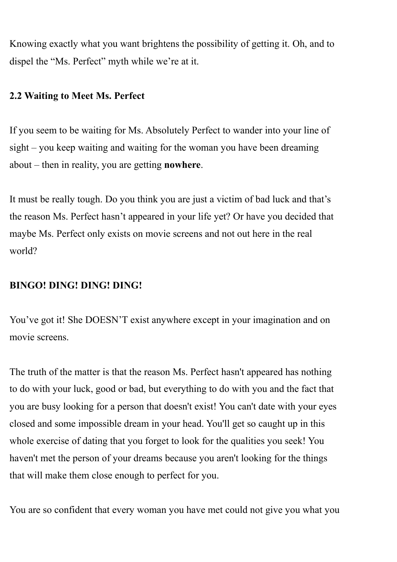Knowing exactly what you want brightens the possibility of getting it. Oh, and to dispel the "Ms. Perfect" myth while we're at it.

#### **2.2 Waiting to Meet Ms. Perfect**

If you seem to be waiting for Ms. Absolutely Perfect to wander into your line of sight – you keep waiting and waiting for the woman you have been dreaming about – then in reality, you are getting **nowhere**.

It must be really tough. Do you think you are just a victim of bad luck and that's the reason Ms. Perfect hasn't appeared in your life yet? Or have you decided that maybe Ms. Perfect only exists on movie screens and not out here in the real world?

#### **BINGO! DING! DING! DING!**

You've got it! She DOESN'T exist anywhere except in your imagination and on movie screens.

The truth of the matter is that the reason Ms. Perfect hasn't appeared has nothing to do with your luck, good or bad, but everything to do with you and the fact that you are busy looking for a person that doesn't exist! You can't date with your eyes closed and some impossible dream in your head. You'll get so caught up in this whole exercise of dating that you forget to look for the qualities you seek! You haven't met the person of your dreams because you aren't looking for the things that will make them close enough to perfect for you.

You are so confident that every woman you have met could not give you what you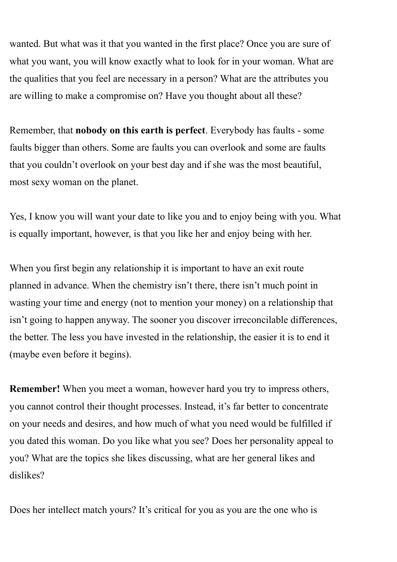wanted. But what was it that you wanted in the first place? Once you are sure of what you want, you will know exactly what to look for in your woman. What are the qualities that you feel are necessary in a person? What are the attributes you are willing to make a compromise on? Have you thought about all these?

Remember, that **nobody on this earth is perfect**. Everybody has faults - some faults bigger than others. Some are faults you can overlook and some are faults that you couldn't overlook on your best day and if she was the most beautiful, most sexy woman on the planet.

Yes, I know you will want your date to like you and to enjoy being with you. What is equally important, however, is that you like her and enjoy being with her.

When you first begin any relationship it is important to have an exit route planned in advance. When the chemistry isn't there, there isn't much point in wasting your time and energy (not to mention your money) on a relationship that isn't going to happen anyway. The sooner you discover irreconcilable differences, the better. The less you have invested in the relationship, the easier it is to end it (maybe even before it begins).

**Remember!** When you meet a woman, however hard you try to impress others, you cannot control their thought processes. Instead, it's far better to concentrate on your needs and desires, and how much of what you need would be fulfilled if you dated this woman. Do you like what you see? Does her personality appeal to you? What are the topics she likes discussing, what are her general likes and dislikes?

Does her intellect match yours? It's critical for you as you are the one who is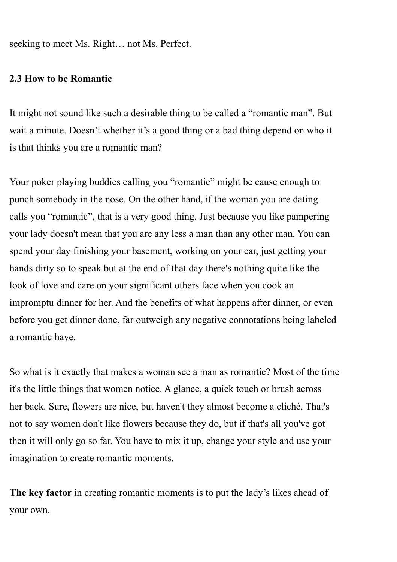seeking to meet Ms. Right… not Ms. Perfect.

#### **2.3 How to be Romantic**

It might not sound like such a desirable thing to be called a "romantic man". But wait a minute. Doesn't whether it's a good thing or a bad thing depend on who it is that thinks you are a romantic man?

Your poker playing buddies calling you "romantic" might be cause enough to punch somebody in the nose. On the other hand, if the woman you are dating calls you "romantic", that is a very good thing. Just because you like pampering your lady doesn't mean that you are any less a man than any other man. You can spend your day finishing your basement, working on your car, just getting your hands dirty so to speak but at the end of that day there's nothing quite like the look of love and care on your significant others face when you cook an impromptu dinner for her. And the benefits of what happens after dinner, or even before you get dinner done, far outweigh any negative connotations being labeled a romantic have.

So what is it exactly that makes a woman see a man as romantic? Most of the time it's the little things that women notice. A glance, a quick touch or brush across her back. Sure, flowers are nice, but haven't they almost become a cliché. That's not to say women don't like flowers because they do, but if that's all you've got then it will only go so far. You have to mix it up, change your style and use your imagination to create romantic moments.

**The key factor** in creating romantic moments is to put the lady's likes ahead of your own.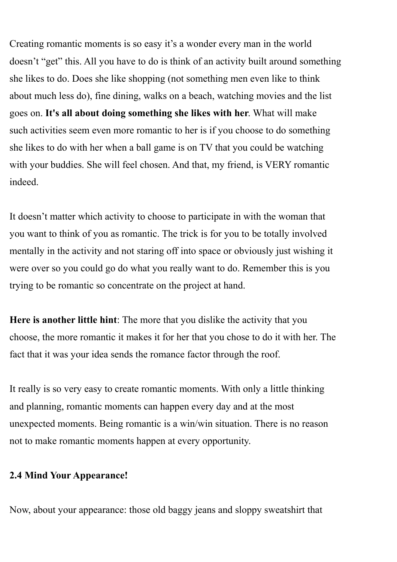Creating romantic moments is so easy it's a wonder every man in the world doesn't "get" this. All you have to do is think of an activity built around something she likes to do. Does she like shopping (not something men even like to think about much less do), fine dining, walks on a beach, watching movies and the list goes on. **It's all about doing something she likes with her**. What will make such activities seem even more romantic to her is if you choose to do something she likes to do with her when a ball game is on TV that you could be watching with your buddies. She will feel chosen. And that, my friend, is VERY romantic indeed.

It doesn't matter which activity to choose to participate in with the woman that you want to think of you as romantic. The trick is for you to be totally involved mentally in the activity and not staring off into space or obviously just wishing it were over so you could go do what you really want to do. Remember this is you trying to be romantic so concentrate on the project at hand.

**Here is another little hint**: The more that you dislike the activity that you choose, the more romantic it makes it for her that you chose to do it with her. The fact that it was your idea sends the romance factor through the roof.

It really is so very easy to create romantic moments. With only a little thinking and planning, romantic moments can happen every day and at the most unexpected moments. Being romantic is a win/win situation. There is no reason not to make romantic moments happen at every opportunity.

#### **2.4 Mind Your Appearance!**

Now, about your appearance: those old baggy jeans and sloppy sweatshirt that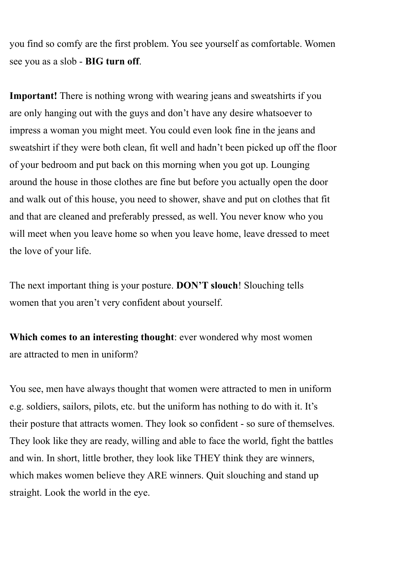you find so comfy are the first problem. You see yourself as comfortable. Women see you as a slob - **BIG turn off**.

**Important!** There is nothing wrong with wearing jeans and sweatshirts if you are only hanging out with the guys and don't have any desire whatsoever to impress a woman you might meet. You could even look fine in the jeans and sweatshirt if they were both clean, fit well and hadn't been picked up off the floor of your bedroom and put back on this morning when you got up. Lounging around the house in those clothes are fine but before you actually open the door and walk out of this house, you need to shower, shave and put on clothes that fit and that are cleaned and preferably pressed, as well. You never know who you will meet when you leave home so when you leave home, leave dressed to meet the love of your life.

The next important thing is your posture. **DON'T slouch**! Slouching tells women that you aren't very confident about yourself.

**Which comes to an interesting thought**: ever wondered why most women are attracted to men in uniform?

You see, men have always thought that women were attracted to men in uniform e.g. soldiers, sailors, pilots, etc. but the uniform has nothing to do with it. It's their posture that attracts women. They look so confident - so sure of themselves. They look like they are ready, willing and able to face the world, fight the battles and win. In short, little brother, they look like THEY think they are winners, which makes women believe they ARE winners. Quit slouching and stand up straight. Look the world in the eye.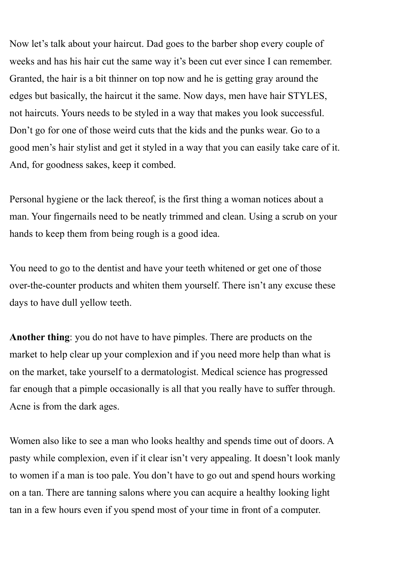Now let's talk about your haircut. Dad goes to the barber shop every couple of weeks and has his hair cut the same way it's been cut ever since I can remember. Granted, the hair is a bit thinner on top now and he is getting gray around the edges but basically, the haircut it the same. Now days, men have hair STYLES, not haircuts. Yours needs to be styled in a way that makes you look successful. Don't go for one of those weird cuts that the kids and the punks wear. Go to a good men's hair stylist and get it styled in a way that you can easily take care of it. And, for goodness sakes, keep it combed.

Personal hygiene or the lack thereof, is the first thing a woman notices about a man. Your fingernails need to be neatly trimmed and clean. Using a scrub on your hands to keep them from being rough is a good idea.

You need to go to the dentist and have your teeth whitened or get one of those over-the-counter products and whiten them yourself. There isn't any excuse these days to have dull yellow teeth.

Another thing: you do not have to have pimples. There are products on the market to help clear up your complexion and if you need more help than what is on the market, take yourself to a dermatologist. Medical science has progressed far enough that a pimple occasionally is all that you really have to suffer through. Acne is from the dark ages.

Women also like to see a man who looks healthy and spends time out of doors. A pasty while complexion, even if it clear isn't very appealing. It doesn't look manly to women if a man is too pale. You don't have to go out and spend hours working on a tan. There are tanning salons where you can acquire a healthy looking light tan in a few hours even if you spend most of your time in front of a computer.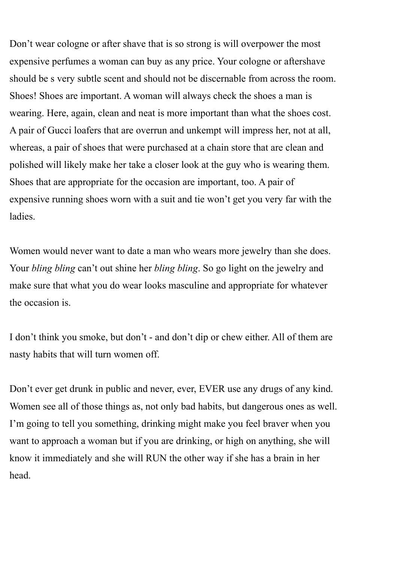Don't wear cologne or after shave that is so strong is will overpower the most expensive perfumes a woman can buy as any price. Your cologne or aftershave should be s very subtle scent and should not be discernable from across the room. Shoes! Shoes are important. A woman will always check the shoes a man is wearing. Here, again, clean and neat is more important than what the shoes cost. A pair of Gucci loafers that are overrun and unkempt will impress her, not at all, whereas, a pair of shoes that were purchased at a chain store that are clean and polished will likely make her take a closer look at the guy who is wearing them. Shoes that are appropriate for the occasion are important, too. A pair of expensive running shoes worn with a suit and tie won't get you very far with the ladies.

Women would never want to date a man who wears more jewelry than she does. Your *bling bling* can't out shine her *bling bling*. So go light on the jewelry and make sure that what you do wear looks masculine and appropriate for whatever the occasion is.

I don't think you smoke, but don't - and don't dip or chew either. All of them are nasty habits that will turn women off.

Don't ever get drunk in public and never, ever, EVER use any drugs of any kind. Women see all of those things as, not only bad habits, but dangerous ones as well. I'm going to tell you something, drinking might make you feel braver when you want to approach a woman but if you are drinking, or high on anything, she will know it immediately and she will RUN the other way if she has a brain in her head.